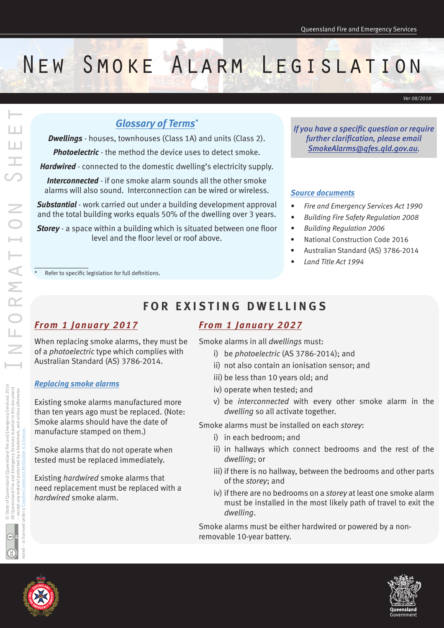# New Smoke Alarm Legislation

*Ver 08/2018*

### *Glossary of Terms\**

*Dwellings* - houses, townhouses (Class 1A) and units (Class 2).

*Photoelectric* - the method the device uses to detect smoke.

*Hardwired* - connected to the domestic dwelling's electricity supply.

*Interconnected* - if one smoke alarm sounds all the other smoke alarms will also sound. Interconnection can be wired or wireless.

*Substantial* - work carried out under a building development approval and the total building works equals 50% of the dwelling over 3 years.

*Storey* - a space within a building which is situated between one floor level and the floor level or roof above.

*If you have a specific question or require further clarification, please email [SmokeAlarms@qfes.qld.gov.au.](mailto:SmokeAlarm%40qfes.qld.gov.au?subject=)* 

#### *Source documents*

- *• Fire and Emergency Services Act 1990*
- *• Building Fire Safety Regulation 2008*
- *• Building Regulation 2006*
- National Construction Code 2016
- Australian Standard (AS) 3786-2014
- *• Land Title Act 1994*

 $\overline{\rm{Refer}}$  to specific legislation for full definitions.

# **FOR EXISTING DWELLINGS**

#### *From 1 January 2017*

When replacing smoke alarms, they must be of a *photoelectric* type which complies with Australian Standard (AS) 3786-2014.

#### *Replacing smoke alarms*

Existing smoke alarms manufactured more than ten years ago must be replaced. (Note: Smoke alarms should have the date of manufacture stamped on them.)

Smoke alarms that do not operate when tested must be replaced immediately.

Existing *hardwired* smoke alarms that need replacement must be replaced with a *hardwired* smoke alarm.

# *From 1 January 2027*

Smoke alarms in all *dwellings* must:

- i) be *photoelectric* (AS 3786-2014); and
- ii) not also contain an ionisation sensor; and
- iii) be less than 10 years old; and
- iv) operate when tested; and
- v) be *interconnected* with every other smoke alarm in the *dwelling* so all activate together.

Smoke alarms must be installed on each *storey*:

- i) in each bedroom; and
- ii) in hallways which connect bedrooms and the rest of the *dwelling*; or
- iii) if there is no hallway, between the bedrooms and other parts of the *storey*; and
- iv) if there are no bedrooms on a *storey* at least one smoke alarm must be installed in the most likely path of travel to exit the *dwelling*.

Smoke alarms must be either hardwired or powered by a nonremovable 10-year battery.





L.

Ш